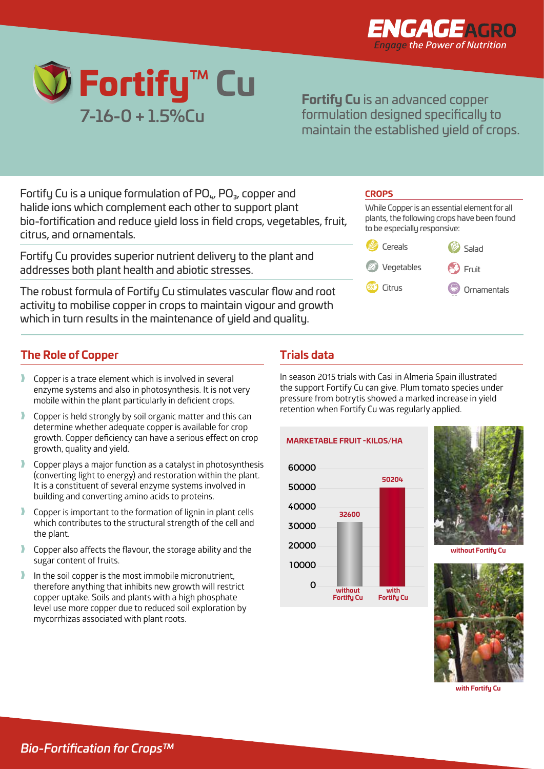



**Fortify Cu** is an advanced copper formulation designed specifically to maintain the established yield of crops.

Fortify Cu is a unique formulation of  $PO_{4}$ ,  $PO_{3}$ , copper and halide ions which complement each other to support plant bio-fortification and reduce yield loss in field crops, vegetables, fruit, citrus, and ornamentals.

Fortify Cu provides superior nutrient delivery to the plant and addresses both plant health and abiotic stresses.

The robust formula of Fortify Cu stimulates vascular flow and root activity to mobilise copper in crops to maintain vigour and growth which in turn results in the maintenance of yield and quality.

## **The Role of Copper**

- Copper is a trace element which is involved in several enzyme systems and also in photosynthesis. It is not very mobile within the plant particularly in deficient crops.
- Copper is held strongly by soil organic matter and this can determine whether adequate copper is available for crop growth. Copper deficiency can have a serious effect on crop growth, quality and yield.
- Copper plays a major function as a catalyst in photosynthesis (converting light to energy) and restoration within the plant. It is a constituent of several enzyme systems involved in building and converting amino acids to proteins.
- Copper is important to the formation of lignin in plant cells which contributes to the structural strength of the cell and the plant.
- Copper also affects the flavour, the storage ability and the sugar content of fruits.
- In the soil copper is the most immobile micronutrient, therefore anything that inhibits new growth will restrict copper uptake. Soils and plants with a high phosphate level use more copper due to reduced soil exploration by mycorrhizas associated with plant roots.

## CROPS



## **Trials data**

In season 2015 trials with Casi in Almeria Spain illustrated the support Fortify Cu can give. Plum tomato species under pressure from botrytis showed a marked increase in yield retention when Fortify Cu was regularly applied.

VegetablesFruiting Vegetables Sugar Beet





**without Fortify Cu** 



**with Fortify Cu**